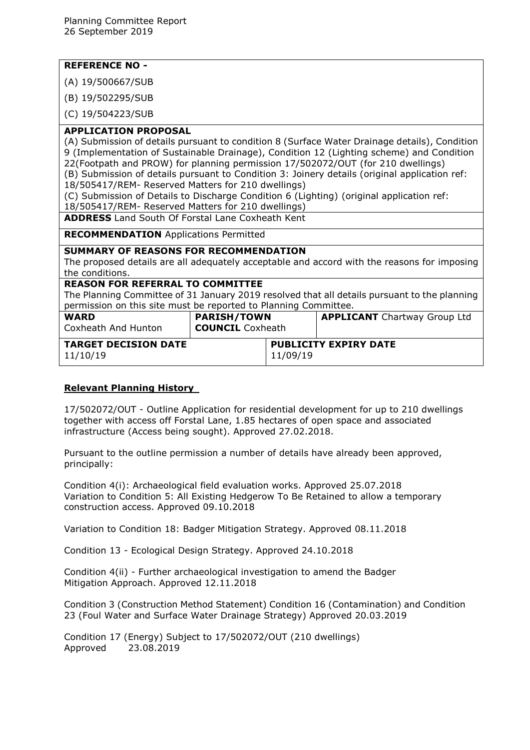# **REFERENCE NO -**

(A) 19/500667/SUB

(B) 19/502295/SUB

(C) 19/504223/SUB

### **APPLICATION PROPOSAL**

(A) Submission of details pursuant to condition 8 (Surface Water Drainage details), Condition 9 (Implementation of Sustainable Drainage), Condition 12 (Lighting scheme) and Condition 22(Footpath and PROW) for planning permission 17/502072/OUT (for 210 dwellings)

(B) Submission of details pursuant to Condition 3: Joinery details (original application ref: 18/505417/REM- Reserved Matters for 210 dwellings)

(C) Submission of Details to Discharge Condition 6 (Lighting) (original application ref:

18/505417/REM- Reserved Matters for 210 dwellings)

**ADDRESS** Land South Of Forstal Lane Coxheath Kent

**RECOMMENDATION** Applications Permitted

#### **SUMMARY OF REASONS FOR RECOMMENDATION**

The proposed details are all adequately acceptable and accord with the reasons for imposing the conditions.

#### **REASON FOR REFERRAL TO COMMITTEE**

The Planning Committee of 31 January 2019 resolved that all details pursuant to the planning permission on this site must be reported to Planning Committee.

| <b>WARD</b><br>Coxheath And Hunton      | <b>PARISH/TOWN</b><br><b>COUNCIL</b> Coxheath |          | <b>APPLICANT</b> Chartway Group Ltd |
|-----------------------------------------|-----------------------------------------------|----------|-------------------------------------|
| <b>TARGET DECISION DATE</b><br>11/10/19 |                                               | 11/09/19 | <b>PUBLICITY EXPIRY DATE</b>        |

# **Relevant Planning History**

17/502072/OUT - Outline Application for residential development for up to 210 dwellings together with access off Forstal Lane, 1.85 hectares of open space and associated infrastructure (Access being sought). Approved 27.02.2018.

Pursuant to the outline permission a number of details have already been approved, principally:

Condition 4(i): Archaeological field evaluation works. Approved 25.07.2018 Variation to Condition 5: All Existing Hedgerow To Be Retained to allow a temporary construction access. Approved 09.10.2018

Variation to Condition 18: Badger Mitigation Strategy. Approved 08.11.2018

Condition 13 - Ecological Design Strategy. Approved 24.10.2018

Condition 4(ii) - Further archaeological investigation to amend the Badger Mitigation Approach. Approved 12.11.2018

Condition 3 (Construction Method Statement) Condition 16 (Contamination) and Condition 23 (Foul Water and Surface Water Drainage Strategy) Approved 20.03.2019

Condition 17 (Energy) Subject to 17/502072/OUT (210 dwellings) Approved 23.08.2019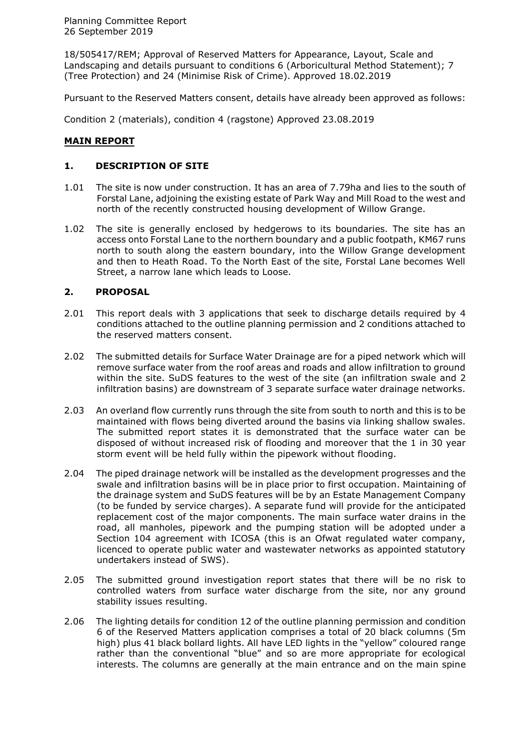18/505417/REM; Approval of Reserved Matters for Appearance, Layout, Scale and Landscaping and details pursuant to conditions 6 (Arboricultural Method Statement); 7 (Tree Protection) and 24 (Minimise Risk of Crime). Approved 18.02.2019

Pursuant to the Reserved Matters consent, details have already been approved as follows:

Condition 2 (materials), condition 4 (ragstone) Approved 23.08.2019

# **MAIN REPORT**

### **1. DESCRIPTION OF SITE**

- 1.01 The site is now under construction. It has an area of 7.79ha and lies to the south of Forstal Lane, adjoining the existing estate of Park Way and Mill Road to the west and north of the recently constructed housing development of Willow Grange.
- 1.02 The site is generally enclosed by hedgerows to its boundaries. The site has an access onto Forstal Lane to the northern boundary and a public footpath, KM67 runs north to south along the eastern boundary, into the Willow Grange development and then to Heath Road. To the North East of the site, Forstal Lane becomes Well Street, a narrow lane which leads to Loose.

### **2. PROPOSAL**

- 2.01 This report deals with 3 applications that seek to discharge details required by 4 conditions attached to the outline planning permission and 2 conditions attached to the reserved matters consent.
- 2.02 The submitted details for Surface Water Drainage are for a piped network which will remove surface water from the roof areas and roads and allow infiltration to ground within the site. SuDS features to the west of the site (an infiltration swale and 2 infiltration basins) are downstream of 3 separate surface water drainage networks.
- 2.03 An overland flow currently runs through the site from south to north and this is to be maintained with flows being diverted around the basins via linking shallow swales. The submitted report states it is demonstrated that the surface water can be disposed of without increased risk of flooding and moreover that the 1 in 30 year storm event will be held fully within the pipework without flooding.
- 2.04 The piped drainage network will be installed as the development progresses and the swale and infiltration basins will be in place prior to first occupation. Maintaining of the drainage system and SuDS features will be by an Estate Management Company (to be funded by service charges). A separate fund will provide for the anticipated replacement cost of the major components. The main surface water drains in the road, all manholes, pipework and the pumping station will be adopted under a Section 104 agreement with ICOSA (this is an Ofwat regulated water company, licenced to operate public water and wastewater networks as appointed statutory undertakers instead of SWS).
- 2.05 The submitted ground investigation report states that there will be no risk to controlled waters from surface water discharge from the site, nor any ground stability issues resulting.
- 2.06 The lighting details for condition 12 of the outline planning permission and condition 6 of the Reserved Matters application comprises a total of 20 black columns (5m high) plus 41 black bollard lights. All have LED lights in the "yellow" coloured range rather than the conventional "blue" and so are more appropriate for ecological interests. The columns are generally at the main entrance and on the main spine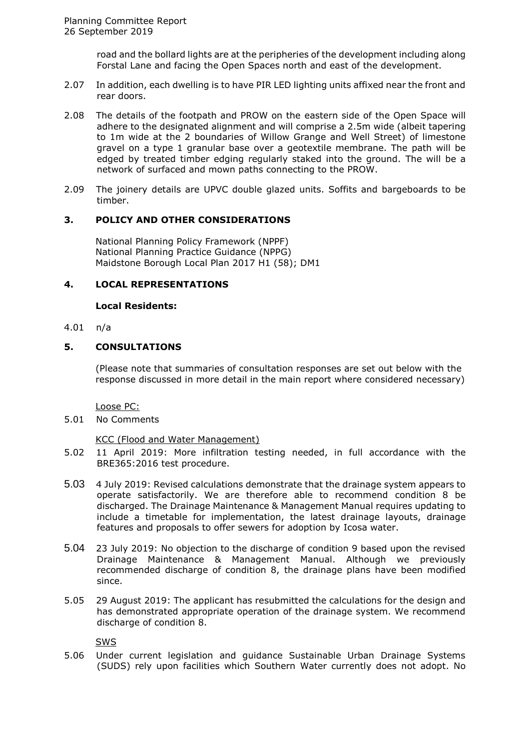road and the bollard lights are at the peripheries of the development including along Forstal Lane and facing the Open Spaces north and east of the development.

- 2.07 In addition, each dwelling is to have PIR LED lighting units affixed near the front and rear doors.
- 2.08 The details of the footpath and PROW on the eastern side of the Open Space will adhere to the designated alignment and will comprise a 2.5m wide (albeit tapering to 1m wide at the 2 boundaries of Willow Grange and Well Street) of limestone gravel on a type 1 granular base over a geotextile membrane. The path will be edged by treated timber edging regularly staked into the ground. The will be a network of surfaced and mown paths connecting to the PROW.
- 2.09 The joinery details are UPVC double glazed units. Soffits and bargeboards to be timber.

### **3. POLICY AND OTHER CONSIDERATIONS**

National Planning Policy Framework (NPPF) National Planning Practice Guidance (NPPG) Maidstone Borough Local Plan 2017 H1 (58); DM1

#### **4. LOCAL REPRESENTATIONS**

#### **Local Residents:**

### 4.01 n/a

### **5. CONSULTATIONS**

(Please note that summaries of consultation responses are set out below with the response discussed in more detail in the main report where considered necessary)

Loose PC:

5.01 No Comments

#### KCC (Flood and Water Management)

- 5.02 11 April 2019: More infiltration testing needed, in full accordance with the BRE365:2016 test procedure.
- 5.03 4 July 2019: Revised calculations demonstrate that the drainage system appears to operate satisfactorily. We are therefore able to recommend condition 8 be discharged. The Drainage Maintenance & Management Manual requires updating to include a timetable for implementation, the latest drainage layouts, drainage features and proposals to offer sewers for adoption by Icosa water.
- 5.04 23 July 2019: No objection to the discharge of condition 9 based upon the revised Drainage Maintenance & Management Manual. Although we previously recommended discharge of condition 8, the drainage plans have been modified since.
- 5.05 29 August 2019: The applicant has resubmitted the calculations for the design and has demonstrated appropriate operation of the drainage system. We recommend discharge of condition 8.

SWS

5.06 Under current legislation and guidance Sustainable Urban Drainage Systems (SUDS) rely upon facilities which Southern Water currently does not adopt. No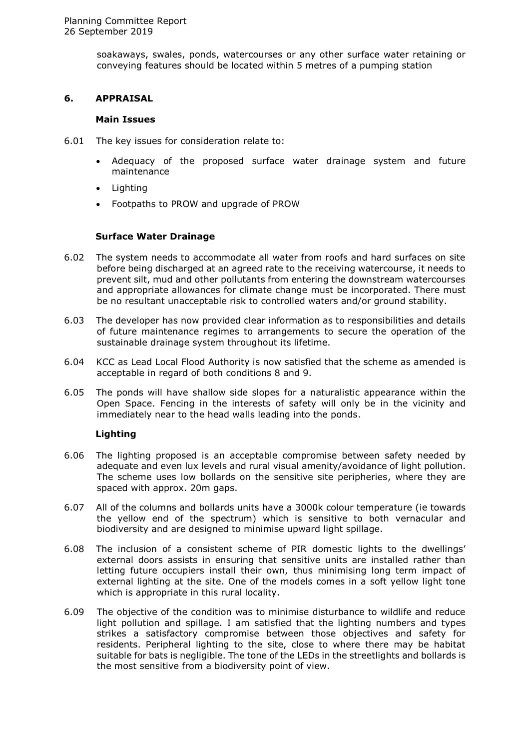soakaways, swales, ponds, watercourses or any other surface water retaining or conveying features should be located within 5 metres of a pumping station

### **6. APPRAISAL**

#### **Main Issues**

- 6.01 The key issues for consideration relate to:
	- Adequacy of the proposed surface water drainage system and future maintenance
	- Lighting
	- Footpaths to PROW and upgrade of PROW

### **Surface Water Drainage**

- 6.02 The system needs to accommodate all water from roofs and hard surfaces on site before being discharged at an agreed rate to the receiving watercourse, it needs to prevent silt, mud and other pollutants from entering the downstream watercourses and appropriate allowances for climate change must be incorporated. There must be no resultant unacceptable risk to controlled waters and/or ground stability.
- 6.03 The developer has now provided clear information as to responsibilities and details of future maintenance regimes to arrangements to secure the operation of the sustainable drainage system throughout its lifetime.
- 6.04 KCC as Lead Local Flood Authority is now satisfied that the scheme as amended is acceptable in regard of both conditions 8 and 9.
- 6.05 The ponds will have shallow side slopes for a naturalistic appearance within the Open Space. Fencing in the interests of safety will only be in the vicinity and immediately near to the head walls leading into the ponds.

# **Lighting**

- 6.06 The lighting proposed is an acceptable compromise between safety needed by adequate and even lux levels and rural visual amenity/avoidance of light pollution. The scheme uses low bollards on the sensitive site peripheries, where they are spaced with approx. 20m gaps.
- 6.07 All of the columns and bollards units have a 3000k colour temperature (ie towards the yellow end of the spectrum) which is sensitive to both vernacular and biodiversity and are designed to minimise upward light spillage.
- 6.08 The inclusion of a consistent scheme of PIR domestic lights to the dwellings' external doors assists in ensuring that sensitive units are installed rather than letting future occupiers install their own, thus minimising long term impact of external lighting at the site. One of the models comes in a soft yellow light tone which is appropriate in this rural locality.
- 6.09 The objective of the condition was to minimise disturbance to wildlife and reduce light pollution and spillage. I am satisfied that the lighting numbers and types strikes a satisfactory compromise between those objectives and safety for residents. Peripheral lighting to the site, close to where there may be habitat suitable for bats is negligible. The tone of the LEDs in the streetlights and bollards is the most sensitive from a biodiversity point of view.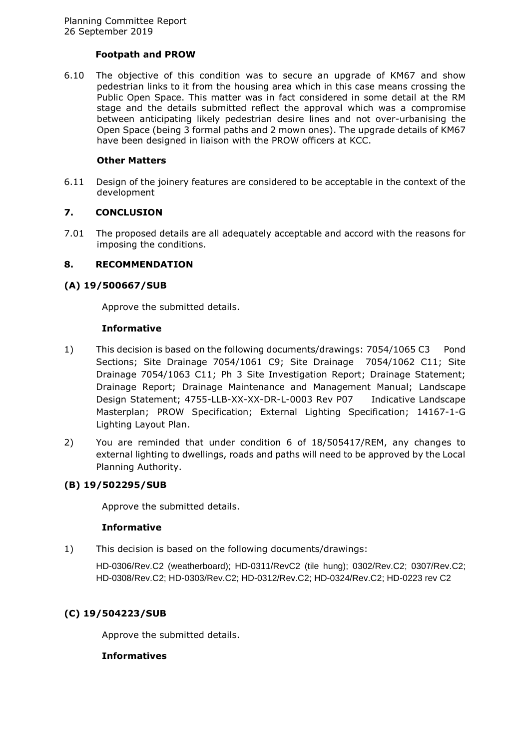### **Footpath and PROW**

6.10 The objective of this condition was to secure an upgrade of KM67 and show pedestrian links to it from the housing area which in this case means crossing the Public Open Space. This matter was in fact considered in some detail at the RM stage and the details submitted reflect the approval which was a compromise between anticipating likely pedestrian desire lines and not over-urbanising the Open Space (being 3 formal paths and 2 mown ones). The upgrade details of KM67 have been designed in liaison with the PROW officers at KCC.

#### **Other Matters**

6.11 Design of the joinery features are considered to be acceptable in the context of the development

# **7. CONCLUSION**

7.01 The proposed details are all adequately acceptable and accord with the reasons for imposing the conditions.

### **8. RECOMMENDATION**

### **(A) 19/500667/SUB**

Approve the submitted details.

#### **Informative**

- 1) This decision is based on the following documents/drawings: 7054/1065 C3 Pond Sections; Site Drainage 7054/1061 C9; Site Drainage 7054/1062 C11; Site Drainage 7054/1063 C11; Ph 3 Site Investigation Report; Drainage Statement; Drainage Report; Drainage Maintenance and Management Manual; Landscape Design Statement; 4755-LLB-XX-XX-DR-L-0003 Rev P07 Indicative Landscape Masterplan; PROW Specification; External Lighting Specification; 14167-1-G Lighting Layout Plan.
- 2) You are reminded that under condition 6 of 18/505417/REM, any changes to external lighting to dwellings, roads and paths will need to be approved by the Local Planning Authority.

# **(B) 19/502295/SUB**

Approve the submitted details.

#### **Informative**

1) This decision is based on the following documents/drawings:

HD-0306/Rev.C2 (weatherboard); HD-0311/RevC2 (tile hung); 0302/Rev.C2; 0307/Rev.C2; HD-0308/Rev.C2; HD-0303/Rev.C2; HD-0312/Rev.C2; HD-0324/Rev.C2; HD-0223 rev C2

# **(C) 19/504223/SUB**

Approve the submitted details.

#### **Informatives**